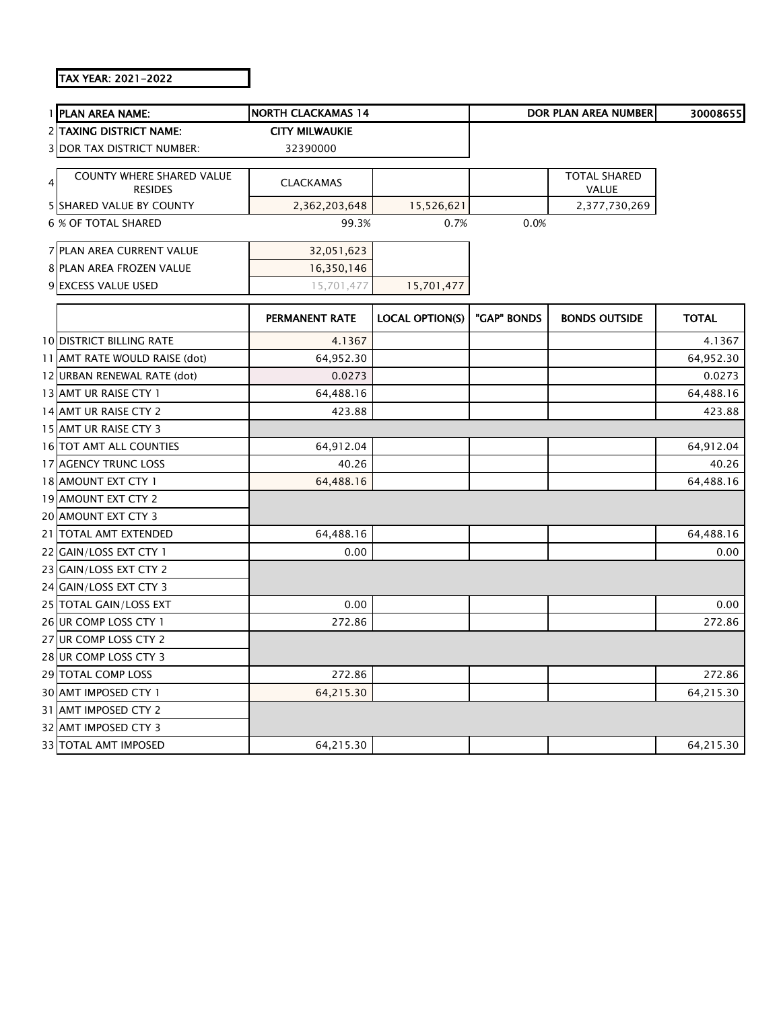## TAX YEAR: 2021-2022

|   | 1 PLAN AREA NAME:                                  | <b>NORTH CLACKAMAS 14</b> |                        |             | <b>DOR PLAN AREA NUMBER</b>  | 30008655     |
|---|----------------------------------------------------|---------------------------|------------------------|-------------|------------------------------|--------------|
|   | 2 TAXING DISTRICT NAME:                            | <b>CITY MILWAUKIE</b>     |                        |             |                              |              |
|   | <b>3 DOR TAX DISTRICT NUMBER:</b>                  | 32390000                  |                        |             |                              |              |
| 4 | <b>COUNTY WHERE SHARED VALUE</b><br><b>RESIDES</b> | <b>CLACKAMAS</b>          |                        |             | <b>TOTAL SHARED</b><br>VALUE |              |
|   | 5 SHARED VALUE BY COUNTY                           | 2,362,203,648             | 15,526,621             |             | 2,377,730,269                |              |
|   | <b>6 % OF TOTAL SHARED</b>                         | 99.3%                     | 0.7%                   | 0.0%        |                              |              |
|   | 7 PLAN AREA CURRENT VALUE                          | 32,051,623                |                        |             |                              |              |
|   | 8 PLAN AREA FROZEN VALUE                           | 16,350,146                |                        |             |                              |              |
|   | 9 EXCESS VALUE USED                                | 15,701,477                | 15,701,477             |             |                              |              |
|   |                                                    | PERMANENT RATE            | <b>LOCAL OPTION(S)</b> | "GAP" BONDS | <b>BONDS OUTSIDE</b>         | <b>TOTAL</b> |
|   | <b>10 DISTRICT BILLING RATE</b>                    | 4.1367                    |                        |             |                              | 4.1367       |
|   | 11 AMT RATE WOULD RAISE (dot)                      | 64,952.30                 |                        |             |                              | 64,952.30    |
|   | 12 URBAN RENEWAL RATE (dot)                        | 0.0273                    |                        |             |                              | 0.0273       |
|   | 13 AMT UR RAISE CTY 1                              | 64,488.16                 |                        |             |                              | 64,488.16    |
|   | 14 AMT UR RAISE CTY 2                              | 423.88                    |                        |             |                              | 423.88       |
|   | 15 AMT UR RAISE CTY 3                              |                           |                        |             |                              |              |
|   | 16 TOT AMT ALL COUNTIES                            | 64,912.04                 |                        |             |                              | 64,912.04    |
|   | 17 AGENCY TRUNC LOSS                               | 40.26                     |                        |             |                              | 40.26        |
|   | 18 AMOUNT EXT CTY 1                                | 64,488.16                 |                        |             |                              | 64,488.16    |
|   | 19 AMOUNT EXT CTY 2                                |                           |                        |             |                              |              |
|   | 20 AMOUNT EXT CTY 3                                |                           |                        |             |                              |              |
|   | 21 TOTAL AMT EXTENDED                              | 64,488.16                 |                        |             |                              | 64,488.16    |
|   | 22 GAIN/LOSS EXT CTY 1                             | 0.00                      |                        |             |                              | 0.00         |
|   | 23 GAIN/LOSS EXT CTY 2                             |                           |                        |             |                              |              |
|   | 24 GAIN/LOSS EXT CTY 3                             |                           |                        |             |                              |              |
|   | 25 TOTAL GAIN/LOSS EXT                             | 0.00                      |                        |             |                              | 0.00         |
|   | 26 UR COMP LOSS CTY 1                              | 272.86                    |                        |             |                              | 272.86       |
|   | 27 UR COMP LOSS CTY 2                              |                           |                        |             |                              |              |
|   | 28 UR COMP LOSS CTY 3                              |                           |                        |             |                              |              |
|   | 29 TOTAL COMP LOSS                                 | 272.86                    |                        |             |                              | 272.86       |
|   | 30 AMT IMPOSED CTY 1                               | 64,215.30                 |                        |             |                              | 64,215.30    |
|   | 31 AMT IMPOSED CTY 2                               |                           |                        |             |                              |              |
|   | 32 AMT IMPOSED CTY 3                               |                           |                        |             |                              |              |
|   | 33 TOTAL AMT IMPOSED                               | 64,215.30                 |                        |             |                              | 64,215.30    |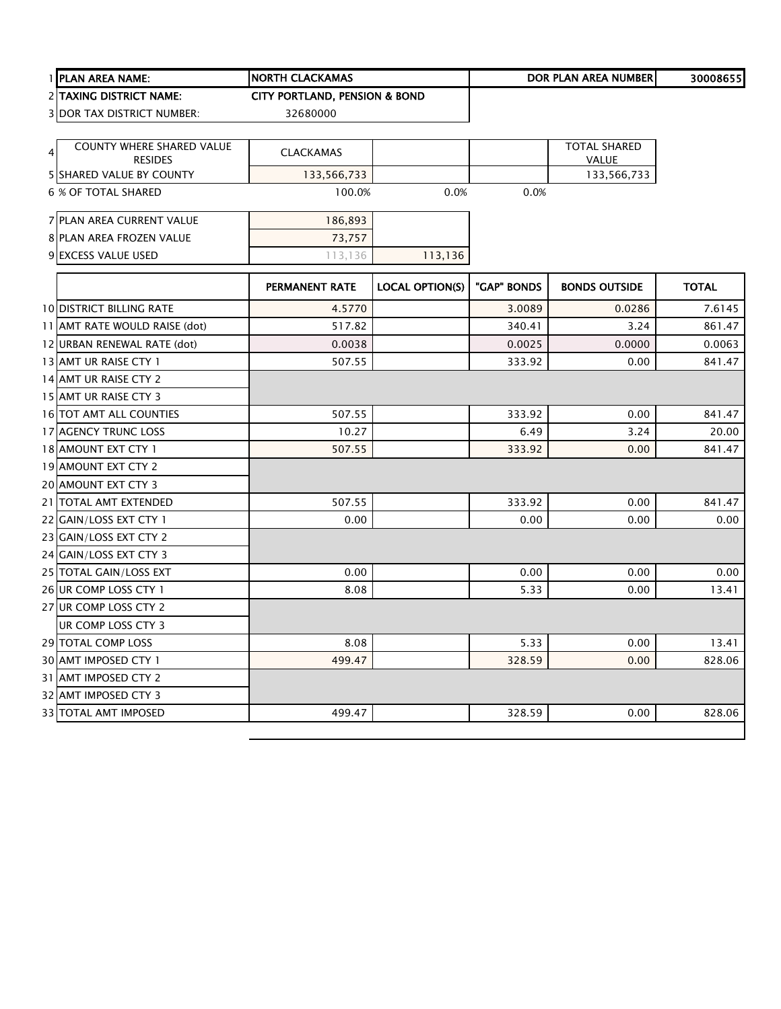|   | 1 PLAN AREA NAME:                          | <b>NORTH CLACKAMAS</b>                   |                        |             | <b>DOR PLAN AREA NUMBER</b> | 30008655     |
|---|--------------------------------------------|------------------------------------------|------------------------|-------------|-----------------------------|--------------|
|   | <b>2 ITAXING DISTRICT NAME:</b>            | <b>CITY PORTLAND, PENSION &amp; BOND</b> |                        |             |                             |              |
|   | <b>3 DOR TAX DISTRICT NUMBER:</b>          | 32680000                                 |                        |             |                             |              |
|   |                                            |                                          |                        |             |                             |              |
| 4 | <b>COUNTY WHERE SHARED VALUE</b>           | <b>CLACKAMAS</b>                         |                        |             | <b>TOTAL SHARED</b>         |              |
|   | <b>RESIDES</b><br>5 SHARED VALUE BY COUNTY |                                          |                        |             | VALUE<br>133,566,733        |              |
|   | <b>6 % OF TOTAL SHARED</b>                 | 133,566,733<br>100.0%                    | 0.0%                   | 0.0%        |                             |              |
|   |                                            |                                          |                        |             |                             |              |
|   | 7 PLAN AREA CURRENT VALUE                  | 186,893                                  |                        |             |                             |              |
|   | 8 PLAN AREA FROZEN VALUE                   | 73,757                                   |                        |             |                             |              |
|   | 9 EXCESS VALUE USED                        | 113,136                                  | 113,136                |             |                             |              |
|   |                                            |                                          |                        |             |                             |              |
|   |                                            | PERMANENT RATE                           | <b>LOCAL OPTION(S)</b> | "GAP" BONDS | <b>BONDS OUTSIDE</b>        | <b>TOTAL</b> |
|   | <b>10 DISTRICT BILLING RATE</b>            | 4.5770                                   |                        | 3.0089      | 0.0286                      | 7.6145       |
|   | 11 AMT RATE WOULD RAISE (dot)              | 517.82                                   |                        | 340.41      | 3.24                        | 861.47       |
|   | 12 URBAN RENEWAL RATE (dot)                | 0.0038                                   |                        | 0.0025      | 0.0000                      | 0.0063       |
|   | 13 AMT UR RAISE CTY 1                      | 507.55                                   |                        | 333.92      | 0.00                        | 841.47       |
|   | 14 AMT UR RAISE CTY 2                      |                                          |                        |             |                             |              |
|   | 15 AMT UR RAISE CTY 3                      |                                          |                        |             |                             |              |
|   | 16 TOT AMT ALL COUNTIES                    | 507.55                                   |                        | 333.92      | 0.00                        | 841.47       |
|   | 17 AGENCY TRUNC LOSS                       | 10.27                                    |                        | 6.49        | 3.24                        | 20.00        |
|   | 18 AMOUNT EXT CTY 1                        | 507.55                                   |                        | 333.92      | 0.00                        | 841.47       |
|   | 19 AMOUNT EXT CTY 2                        |                                          |                        |             |                             |              |
|   | 20 AMOUNT EXT CTY 3                        |                                          |                        |             |                             |              |
|   | 21 TOTAL AMT EXTENDED                      | 507.55                                   |                        | 333.92      | 0.00                        | 841.47       |
|   | 22 GAIN/LOSS EXT CTY 1                     | 0.00                                     |                        | 0.00        | 0.00                        | 0.00         |
|   | 23 GAIN/LOSS EXT CTY 2                     |                                          |                        |             |                             |              |
|   | 24 GAIN/LOSS EXT CTY 3                     |                                          |                        |             |                             |              |
|   | 25 TOTAL GAIN/LOSS EXT                     | 0.00                                     |                        | 0.00        | 0.00                        | 0.00         |
|   | 26 UR COMP LOSS CTY 1                      | 8.08                                     |                        | 5.33        | 0.00                        | 13.41        |
|   | 27 UR COMP LOSS CTY 2                      |                                          |                        |             |                             |              |
|   | UR COMP LOSS CTY 3                         |                                          |                        |             |                             |              |
|   | <b>29 TOTAL COMP LOSS</b>                  | 8.08                                     |                        | 5.33        | 0.00                        | 13.41        |
|   | 30 AMT IMPOSED CTY 1                       | 499.47                                   |                        | 328.59      | 0.00                        | 828.06       |
|   | 31 AMT IMPOSED CTY 2                       |                                          |                        |             |                             |              |
|   | 32 AMT IMPOSED CTY 3                       |                                          |                        |             |                             |              |
|   | 33 TOTAL AMT IMPOSED                       | 499.47                                   |                        | 328.59      | 0.00                        | 828.06       |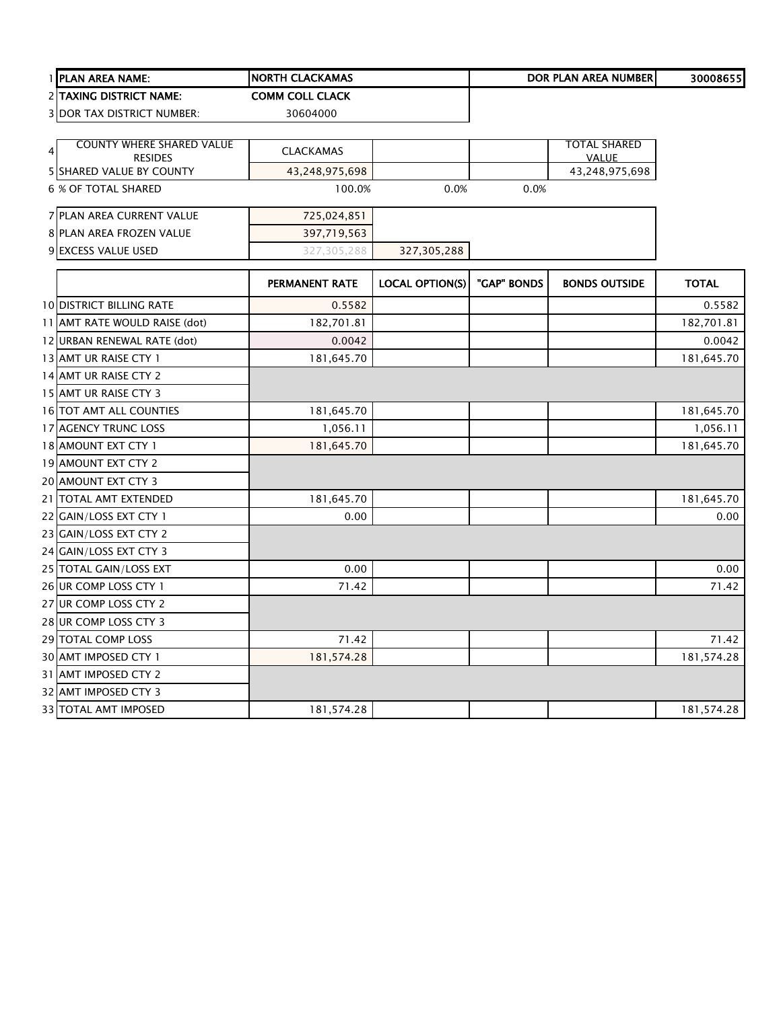|    | 1 <b>PLAN AREA NAME:</b>                   | <b>NORTH CLACKAMAS</b> |                        |             | DOR PLAN AREA NUMBER           | 30008655     |
|----|--------------------------------------------|------------------------|------------------------|-------------|--------------------------------|--------------|
|    | 2 TAXING DISTRICT NAME:                    | <b>COMM COLL CLACK</b> |                        |             |                                |              |
|    | 3 DOR TAX DISTRICT NUMBER:                 | 30604000               |                        |             |                                |              |
|    |                                            |                        |                        |             |                                |              |
| 41 | <b>COUNTY WHERE SHARED VALUE</b>           | <b>CLACKAMAS</b>       |                        |             | <b>TOTAL SHARED</b>            |              |
|    | <b>RESIDES</b><br>5 SHARED VALUE BY COUNTY | 43,248,975,698         |                        |             | <b>VALUE</b><br>43,248,975,698 |              |
|    | <b>6 % OF TOTAL SHARED</b>                 | 100.0%                 | 0.0%                   | 0.0%        |                                |              |
|    |                                            |                        |                        |             |                                |              |
|    | 7 PLAN AREA CURRENT VALUE                  | 725,024,851            |                        |             |                                |              |
|    | 8 PLAN AREA FROZEN VALUE                   | 397,719,563            |                        |             |                                |              |
|    | 9 EXCESS VALUE USED                        | 327,305,288            | 327,305,288            |             |                                |              |
|    |                                            |                        |                        |             |                                |              |
|    |                                            | PERMANENT RATE         | <b>LOCAL OPTION(S)</b> | "GAP" BONDS | <b>BONDS OUTSIDE</b>           | <b>TOTAL</b> |
|    | <b>10 DISTRICT BILLING RATE</b>            | 0.5582                 |                        |             |                                | 0.5582       |
|    | 11 AMT RATE WOULD RAISE (dot)              | 182,701.81             |                        |             |                                | 182,701.81   |
|    | 12 URBAN RENEWAL RATE (dot)                | 0.0042                 |                        |             |                                | 0.0042       |
|    | 13 AMT UR RAISE CTY 1                      | 181,645.70             |                        |             |                                | 181,645.70   |
|    | 14 AMT UR RAISE CTY 2                      |                        |                        |             |                                |              |
|    | 15 AMT UR RAISE CTY 3                      |                        |                        |             |                                |              |
|    | 16 TOT AMT ALL COUNTIES                    | 181,645.70             |                        |             |                                | 181,645.70   |
|    | 17 AGENCY TRUNC LOSS                       | 1,056.11               |                        |             |                                | 1,056.11     |
|    | 18 AMOUNT EXT CTY 1                        | 181,645.70             |                        |             |                                | 181,645.70   |
|    | 19 AMOUNT EXT CTY 2                        |                        |                        |             |                                |              |
|    | 20 AMOUNT EXT CTY 3                        |                        |                        |             |                                |              |
|    | 21 TOTAL AMT EXTENDED                      | 181,645.70             |                        |             |                                | 181,645.70   |
|    | 22 GAIN/LOSS EXT CTY 1                     | 0.00                   |                        |             |                                | 0.00         |
|    | 23 GAIN/LOSS EXT CTY 2                     |                        |                        |             |                                |              |
|    | 24 GAIN/LOSS EXT CTY 3                     |                        |                        |             |                                |              |
|    | 25 TOTAL GAIN/LOSS EXT                     | 0.00                   |                        |             |                                | 0.00         |
|    | 26 UR COMP LOSS CTY 1                      | 71.42                  |                        |             |                                | 71.42        |
|    | 27 UR COMP LOSS CTY 2                      |                        |                        |             |                                |              |
|    | 28 UR COMP LOSS CTY 3                      |                        |                        |             |                                |              |
|    | 29 TOTAL COMP LOSS                         | 71.42                  |                        |             |                                | 71.42        |
|    | 30 AMT IMPOSED CTY 1                       | 181,574.28             |                        |             |                                | 181,574.28   |
|    | 31 AMT IMPOSED CTY 2                       |                        |                        |             |                                |              |
|    | 32 AMT IMPOSED CTY 3                       |                        |                        |             |                                |              |
|    | <b>33 TOTAL AMT IMPOSED</b>                | 181,574.28             |                        |             |                                | 181,574.28   |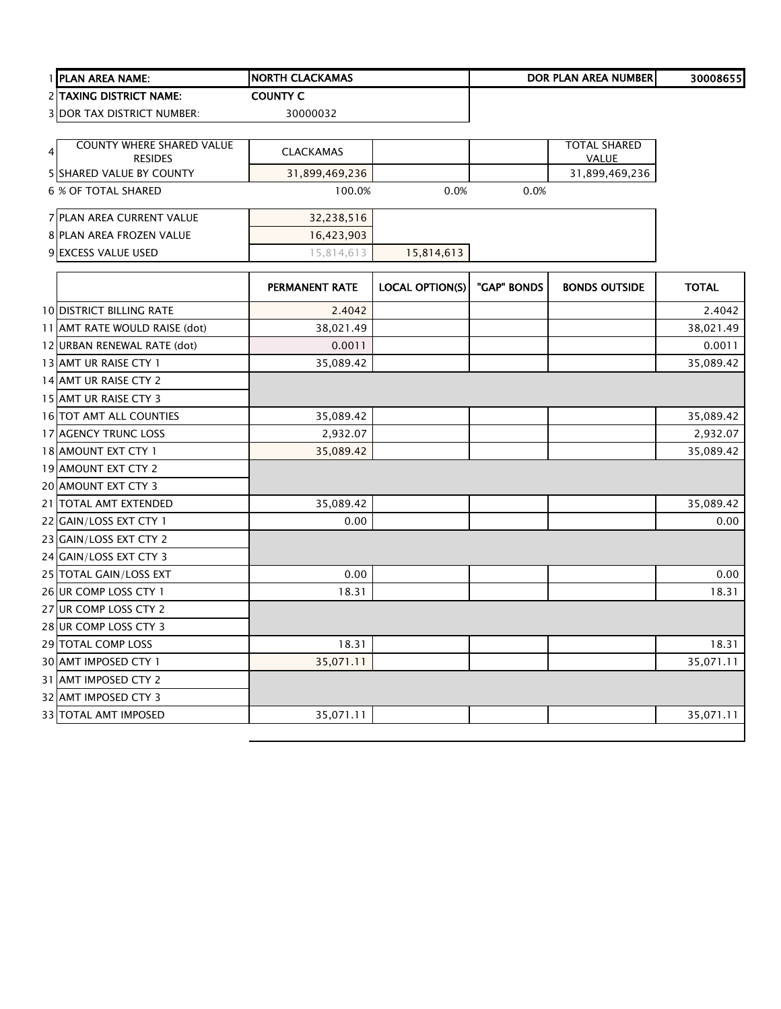|   | 1 PLAN AREA NAME:                          | <b>NORTH CLACKAMAS</b> |                        |             | <b>DOR PLAN AREA NUMBER</b>    | 30008655     |
|---|--------------------------------------------|------------------------|------------------------|-------------|--------------------------------|--------------|
|   | 2 TAXING DISTRICT NAME:                    | <b>COUNTY C</b>        |                        |             |                                |              |
|   | <b>3 DOR TAX DISTRICT NUMBER:</b>          | 30000032               |                        |             |                                |              |
|   |                                            |                        |                        |             |                                |              |
| 4 | COUNTY WHERE SHARED VALUE                  | <b>CLACKAMAS</b>       |                        |             | <b>TOTAL SHARED</b>            |              |
|   | <b>RESIDES</b><br>5 SHARED VALUE BY COUNTY | 31,899,469,236         |                        |             | <b>VALUE</b><br>31,899,469,236 |              |
|   | <b>6 % OF TOTAL SHARED</b>                 | 100.0%                 | 0.0%                   | 0.0%        |                                |              |
|   |                                            |                        |                        |             |                                |              |
|   | 7 PLAN AREA CURRENT VALUE                  | 32,238,516             |                        |             |                                |              |
|   | 8 PLAN AREA FROZEN VALUE                   | 16,423,903             |                        |             |                                |              |
|   | 9 EXCESS VALUE USED                        | 15,814,613             | 15,814,613             |             |                                |              |
|   |                                            | PERMANENT RATE         | <b>LOCAL OPTION(S)</b> | "GAP" BONDS | <b>BONDS OUTSIDE</b>           | <b>TOTAL</b> |
|   |                                            |                        |                        |             |                                |              |
|   | <b>10 DISTRICT BILLING RATE</b>            | 2.4042                 |                        |             |                                | 2.4042       |
|   | 11 AMT RATE WOULD RAISE (dot)              | 38,021.49              |                        |             |                                | 38,021.49    |
|   | 12 URBAN RENEWAL RATE (dot)                | 0.0011                 |                        |             |                                | 0.0011       |
|   | 13 AMT UR RAISE CTY 1                      | 35,089.42              |                        |             |                                | 35,089.42    |
|   | 14 AMT UR RAISE CTY 2                      |                        |                        |             |                                |              |
|   | 15 AMT UR RAISE CTY 3                      |                        |                        |             |                                |              |
|   | 16 TOT AMT ALL COUNTIES                    | 35,089.42              |                        |             |                                | 35,089.42    |
|   | 17 AGENCY TRUNC LOSS                       | 2,932.07               |                        |             |                                | 2,932.07     |
|   | 18 AMOUNT EXT CTY 1                        | 35,089.42              |                        |             |                                | 35,089.42    |
|   | 19 AMOUNT EXT CTY 2                        |                        |                        |             |                                |              |
|   | 20 AMOUNT EXT CTY 3                        |                        |                        |             |                                |              |
|   | 21 TOTAL AMT EXTENDED                      | 35,089.42              |                        |             |                                | 35,089.42    |
|   | 22 GAIN/LOSS EXT CTY 1                     | 0.00                   |                        |             |                                | 0.00         |
|   | 23 GAIN/LOSS EXT CTY 2                     |                        |                        |             |                                |              |
|   | 24 GAIN/LOSS EXT CTY 3                     |                        |                        |             |                                |              |
|   | 25 TOTAL GAIN/LOSS EXT                     | 0.00                   |                        |             |                                | 0.00         |
|   | 26 UR COMP LOSS CTY 1                      | 18.31                  |                        |             |                                | 18.31        |
|   | 27 UR COMP LOSS CTY 2                      |                        |                        |             |                                |              |
|   | 28 UR COMP LOSS CTY 3                      |                        |                        |             |                                |              |
|   | 29 TOTAL COMP LOSS                         | 18.31                  |                        |             |                                | 18.31        |
|   | 30 AMT IMPOSED CTY 1                       | 35,071.11              |                        |             |                                | 35,071.11    |
|   | 31 AMT IMPOSED CTY 2                       |                        |                        |             |                                |              |
|   | 32 AMT IMPOSED CTY 3                       |                        |                        |             |                                |              |
|   | 33 TOTAL AMT IMPOSED                       | 35,071.11              |                        |             |                                | 35,071.11    |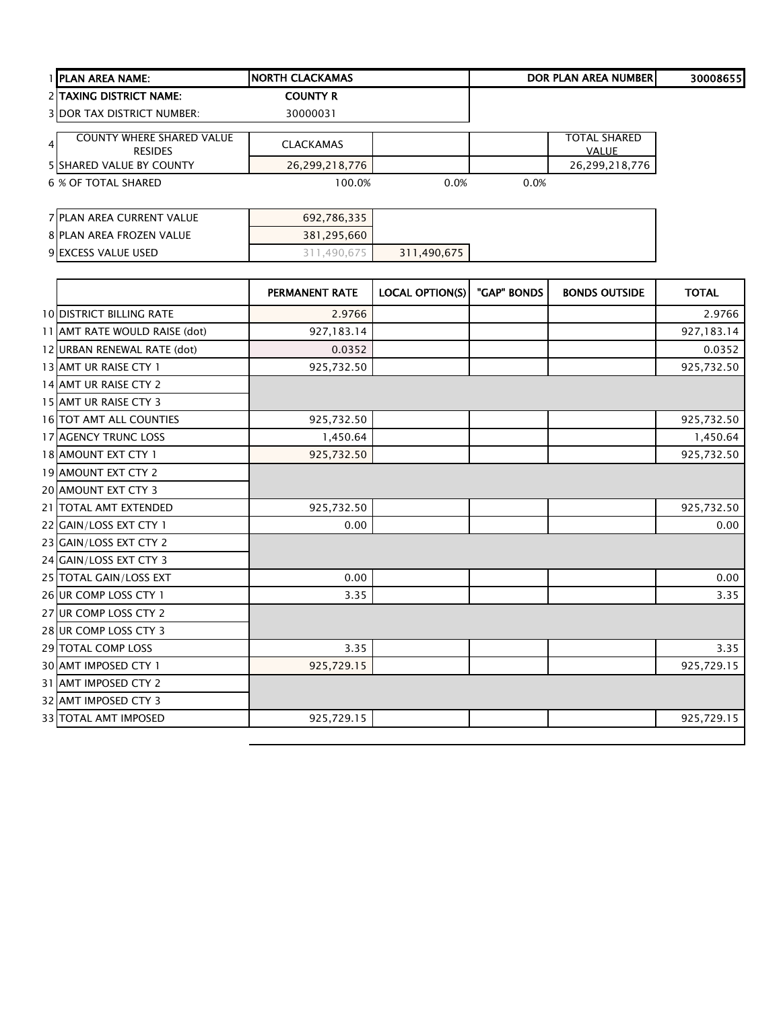| I PLAN AREA NAME:                                                    | <b>NORTH CLACKAMAS</b> |             |      | <b>DOR PLAN AREA NUMBERI</b>        | 30008655 |
|----------------------------------------------------------------------|------------------------|-------------|------|-------------------------------------|----------|
| <b>2 TAXING DISTRICT NAME:</b>                                       | <b>COUNTY R</b>        |             |      |                                     |          |
| <b>3IDOR TAX DISTRICT NUMBER:</b>                                    | 30000031               |             |      |                                     |          |
| <b>COUNTY WHERE SHARED VALUE</b><br>$\overline{4}$<br><b>RESIDES</b> | <b>CLACKAMAS</b>       |             |      | <b>TOTAL SHARED</b><br><b>VALUE</b> |          |
| <b>5 ISHARED VALUE BY COUNTY</b>                                     | 26,299,218,776         |             |      | 26,299,218,776                      |          |
| 6 % OF TOTAL SHARED                                                  | 100.0%                 | 0.0%        | 0.0% |                                     |          |
|                                                                      |                        |             |      |                                     |          |
| <b>7 PLAN AREA CURRENT VALUE</b>                                     | 692,786,335            |             |      |                                     |          |
| <b>8 PLAN AREA FROZEN VALUE</b>                                      | 381,295,660            |             |      |                                     |          |
| <b>9 EXCESS VALUE USED</b>                                           | 311,490,675            | 311,490,675 |      |                                     |          |

|                                 | <b>PERMANENT RATE</b> | <b>LOCAL OPTION(S)</b> | "GAP" BONDS | <b>BONDS OUTSIDE</b> | <b>TOTAL</b> |
|---------------------------------|-----------------------|------------------------|-------------|----------------------|--------------|
| <b>10 DISTRICT BILLING RATE</b> | 2.9766                |                        |             |                      | 2.9766       |
| 11 AMT RATE WOULD RAISE (dot)   | 927,183.14            |                        |             |                      | 927,183.14   |
| 12 URBAN RENEWAL RATE (dot)     | 0.0352                |                        |             |                      | 0.0352       |
| 13 AMT UR RAISE CTY 1           | 925,732.50            |                        |             |                      | 925,732.50   |
| 14 AMT UR RAISE CTY 2           |                       |                        |             |                      |              |
| 15 AMT UR RAISE CTY 3           |                       |                        |             |                      |              |
| <b>16 TOT AMT ALL COUNTIES</b>  | 925,732.50            |                        |             |                      | 925,732.50   |
| 17 AGENCY TRUNC LOSS            | 1,450.64              |                        |             |                      | 1,450.64     |
| 18 AMOUNT EXT CTY 1             | 925,732.50            |                        |             |                      | 925,732.50   |
| 19 AMOUNT EXT CTY 2             |                       |                        |             |                      |              |
| <b>20 AMOUNT EXT CTY 3</b>      |                       |                        |             |                      |              |
| 21 TOTAL AMT EXTENDED           | 925,732.50            |                        |             |                      | 925,732.50   |
| 22 GAIN/LOSS EXT CTY 1          | 0.00                  |                        |             |                      | 0.00         |
| 23 GAIN/LOSS EXT CTY 2          |                       |                        |             |                      |              |
| 24 GAIN/LOSS EXT CTY 3          |                       |                        |             |                      |              |
| 25 TOTAL GAIN/LOSS EXT          | 0.00                  |                        |             |                      | 0.00         |
| 26 UR COMP LOSS CTY 1           | 3.35                  |                        |             |                      | 3.35         |
| 27 UR COMP LOSS CTY 2           |                       |                        |             |                      |              |
| 28 UR COMP LOSS CTY 3           |                       |                        |             |                      |              |
| 29 TOTAL COMP LOSS              | 3.35                  |                        |             |                      | 3.35         |
| 30 AMT IMPOSED CTY 1            | 925,729.15            |                        |             |                      | 925,729.15   |
| 31 AMT IMPOSED CTY 2            |                       |                        |             |                      |              |
| 32 AMT IMPOSED CTY 3            |                       |                        |             |                      |              |
| 33 TOTAL AMT IMPOSED            | 925,729.15            |                        |             |                      | 925,729.15   |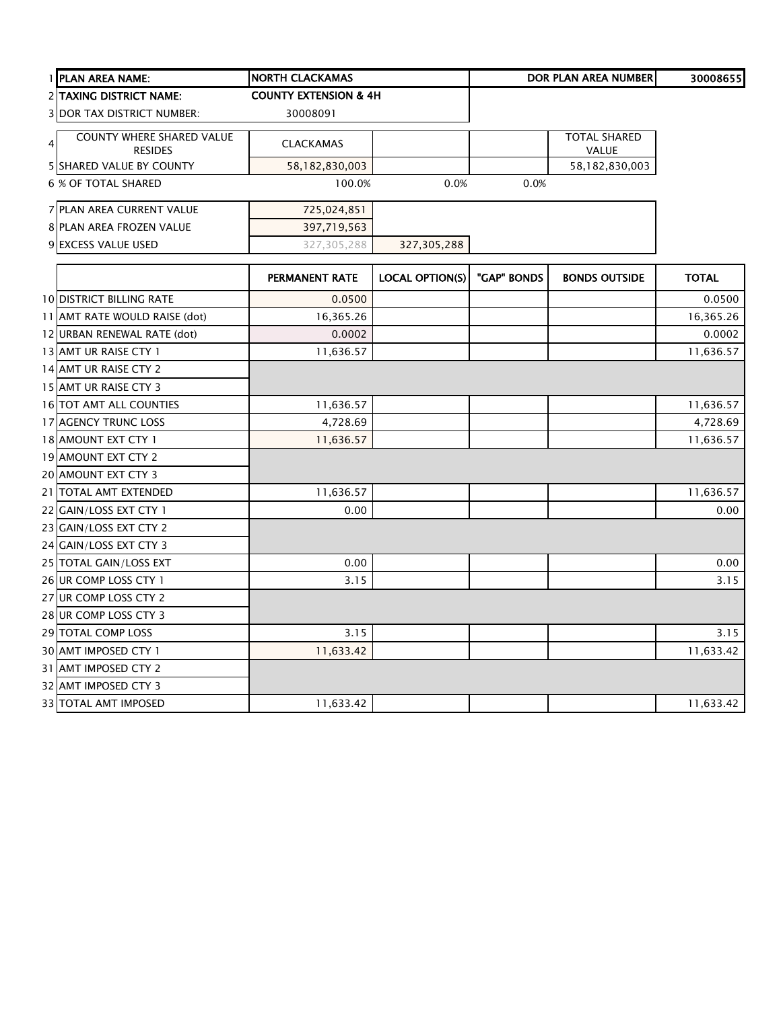| 1 PLAN AREA NAME:                                                    | <b>NORTH CLACKAMAS</b>           |                        |             | <b>DOR PLAN AREA NUMBER</b>  | 30008655     |
|----------------------------------------------------------------------|----------------------------------|------------------------|-------------|------------------------------|--------------|
| 2 TAXING DISTRICT NAME:                                              | <b>COUNTY EXTENSION &amp; 4H</b> |                        |             |                              |              |
| <b>3 DOR TAX DISTRICT NUMBER:</b>                                    | 30008091                         |                        |             |                              |              |
| <b>COUNTY WHERE SHARED VALUE</b><br>$\overline{4}$<br><b>RESIDES</b> | <b>CLACKAMAS</b>                 |                        |             | <b>TOTAL SHARED</b><br>VALUE |              |
| <b>5 SHARED VALUE BY COUNTY</b>                                      | 58,182,830,003                   |                        |             | 58,182,830,003               |              |
| <b>6 % OF TOTAL SHARED</b>                                           | 100.0%                           | 0.0%                   | 0.0%        |                              |              |
| 7 PLAN AREA CURRENT VALUE                                            | 725,024,851                      |                        |             |                              |              |
| 8 PLAN AREA FROZEN VALUE                                             | 397,719,563                      |                        |             |                              |              |
| 9 EXCESS VALUE USED                                                  | 327,305,288                      | 327,305,288            |             |                              |              |
|                                                                      | PERMANENT RATE                   | <b>LOCAL OPTION(S)</b> | "GAP" BONDS | <b>BONDS OUTSIDE</b>         | <b>TOTAL</b> |
| <b>10 DISTRICT BILLING RATE</b>                                      | 0.0500                           |                        |             |                              | 0.0500       |
| 11 AMT RATE WOULD RAISE (dot)                                        | 16,365.26                        |                        |             |                              | 16,365.26    |
| 12 URBAN RENEWAL RATE (dot)                                          | 0.0002                           |                        |             |                              | 0.0002       |
| 13 AMT UR RAISE CTY 1                                                | 11,636.57                        |                        |             |                              | 11,636.57    |
| 14 AMT UR RAISE CTY 2                                                |                                  |                        |             |                              |              |
| 15 AMT UR RAISE CTY 3                                                |                                  |                        |             |                              |              |
| 16 TOT AMT ALL COUNTIES                                              | 11,636.57                        |                        |             |                              | 11,636.57    |
| 17 AGENCY TRUNC LOSS                                                 | 4,728.69                         |                        |             |                              | 4,728.69     |
| 18 AMOUNT EXT CTY 1                                                  | 11,636.57                        |                        |             |                              | 11,636.57    |
| 19 AMOUNT EXT CTY 2                                                  |                                  |                        |             |                              |              |
| 20 AMOUNT EXT CTY 3                                                  |                                  |                        |             |                              |              |
| 21 TOTAL AMT EXTENDED                                                | 11,636.57                        |                        |             |                              | 11,636.57    |
| 22 GAIN/LOSS EXT CTY 1                                               | 0.00                             |                        |             |                              | 0.00         |
| 23 GAIN/LOSS EXT CTY 2                                               |                                  |                        |             |                              |              |
| 24 GAIN/LOSS EXT CTY 3                                               |                                  |                        |             |                              |              |
| 25 TOTAL GAIN/LOSS EXT                                               | 0.00                             |                        |             |                              | 0.00         |
| 26 UR COMP LOSS CTY 1                                                | 3.15                             |                        |             |                              | 3.15         |
| 27 UR COMP LOSS CTY 2                                                |                                  |                        |             |                              |              |
| 28 UR COMP LOSS CTY 3                                                |                                  |                        |             |                              |              |
| 29 TOTAL COMP LOSS                                                   | 3.15                             |                        |             |                              | 3.15         |
| 30 AMT IMPOSED CTY 1                                                 | 11,633.42                        |                        |             |                              | 11,633.42    |
| 31 AMT IMPOSED CTY 2                                                 |                                  |                        |             |                              |              |
| 32 AMT IMPOSED CTY 3                                                 |                                  |                        |             |                              |              |
| 33 TOTAL AMT IMPOSED                                                 | 11,633.42                        |                        |             |                              | 11,633.42    |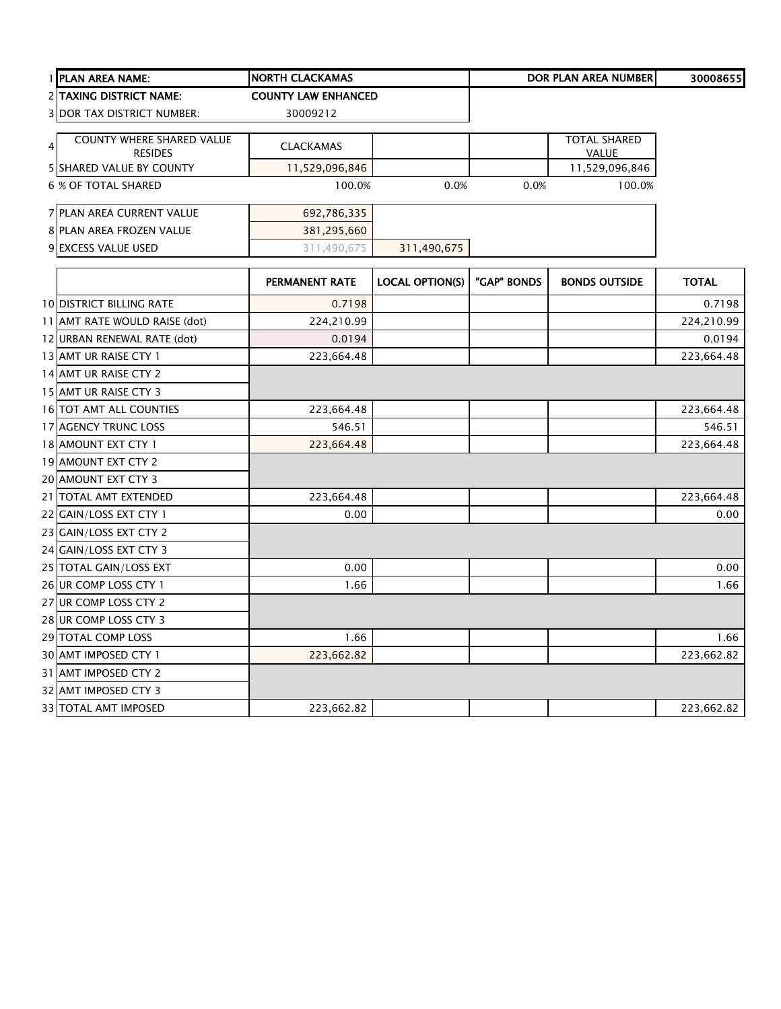|   | 1 PLAN AREA NAME:                 | <b>NORTH CLACKAMAS</b>     |                        |             | <b>DOR PLAN AREA NUMBER</b> | 30008655     |
|---|-----------------------------------|----------------------------|------------------------|-------------|-----------------------------|--------------|
|   | <b>2 TAXING DISTRICT NAME:</b>    | <b>COUNTY LAW ENHANCED</b> |                        |             |                             |              |
|   | <b>3 DOR TAX DISTRICT NUMBER:</b> | 30009212                   |                        |             |                             |              |
|   | <b>COUNTY WHERE SHARED VALUE</b>  |                            |                        |             | <b>TOTAL SHARED</b>         |              |
| 4 | <b>RESIDES</b>                    | <b>CLACKAMAS</b>           |                        |             | VALUE                       |              |
|   | <b>5 SHARED VALUE BY COUNTY</b>   | 11,529,096,846             |                        |             | 11,529,096,846              |              |
|   | <b>6 % OF TOTAL SHARED</b>        | 100.0%                     | 0.0%                   | 0.0%        | 100.0%                      |              |
|   | 7 PLAN AREA CURRENT VALUE         | 692,786,335                |                        |             |                             |              |
|   | 8 PLAN AREA FROZEN VALUE          | 381,295,660                |                        |             |                             |              |
|   | 9 EXCESS VALUE USED               | 311,490,675                | 311,490,675            |             |                             |              |
|   |                                   | PERMANENT RATE             | <b>LOCAL OPTION(S)</b> | "GAP" BONDS | <b>BONDS OUTSIDE</b>        | <b>TOTAL</b> |
|   | <b>10 DISTRICT BILLING RATE</b>   | 0.7198                     |                        |             |                             | 0.7198       |
|   | 11 AMT RATE WOULD RAISE (dot)     | 224,210.99                 |                        |             |                             | 224,210.99   |
|   | 12 URBAN RENEWAL RATE (dot)       | 0.0194                     |                        |             |                             | 0.0194       |
|   | 13 AMT UR RAISE CTY 1             | 223,664.48                 |                        |             |                             | 223,664.48   |
|   | 14 AMT UR RAISE CTY 2             |                            |                        |             |                             |              |
|   | 15 AMT UR RAISE CTY 3             |                            |                        |             |                             |              |
|   | 16 TOT AMT ALL COUNTIES           | 223,664.48                 |                        |             |                             | 223,664.48   |
|   | 17 AGENCY TRUNC LOSS              | 546.51                     |                        |             |                             | 546.51       |
|   | 18 AMOUNT EXT CTY 1               | 223,664.48                 |                        |             |                             | 223,664.48   |
|   | 19 AMOUNT EXT CTY 2               |                            |                        |             |                             |              |
|   | 20 AMOUNT EXT CTY 3               |                            |                        |             |                             |              |
|   | 21   TOTAL AMT EXTENDED           | 223,664.48                 |                        |             |                             | 223,664.48   |
|   | 22 GAIN/LOSS EXT CTY 1            | 0.00                       |                        |             |                             | 0.00         |
|   | 23 GAIN/LOSS EXT CTY 2            |                            |                        |             |                             |              |
|   | 24 GAIN/LOSS EXT CTY 3            |                            |                        |             |                             |              |
|   | 25 TOTAL GAIN/LOSS EXT            | 0.00                       |                        |             |                             | 0.00         |
|   | 26 UR COMP LOSS CTY 1             | 1.66                       |                        |             |                             | 1.66         |
|   | 27 UR COMP LOSS CTY 2             |                            |                        |             |                             |              |
|   | 28 UR COMP LOSS CTY 3             |                            |                        |             |                             |              |
|   | 29 TOTAL COMP LOSS                | 1.66                       |                        |             |                             | 1.66         |
|   | 30 AMT IMPOSED CTY 1              | 223,662.82                 |                        |             |                             | 223,662.82   |
|   | 31 AMT IMPOSED CTY 2              |                            |                        |             |                             |              |
|   | 32 AMT IMPOSED CTY 3              |                            |                        |             |                             |              |
|   |                                   |                            |                        |             |                             |              |
|   | <b>33 TOTAL AMT IMPOSED</b>       | 223,662.82                 |                        |             |                             | 223,662.82   |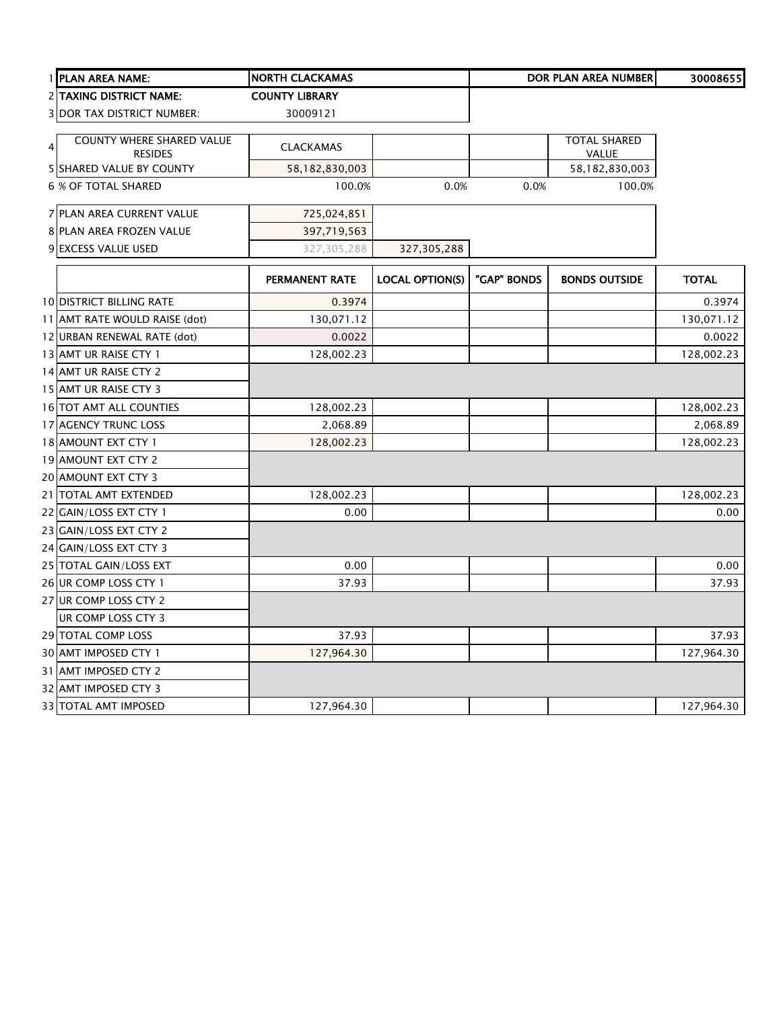|   | 1 PLAN AREA NAME:                           | <b>NORTH CLACKAMAS</b> |                        |             | <b>DOR PLAN AREA NUMBER</b>  | 30008655     |
|---|---------------------------------------------|------------------------|------------------------|-------------|------------------------------|--------------|
|   | <b>2 TAXING DISTRICT NAME:</b>              | <b>COUNTY LIBRARY</b>  |                        |             |                              |              |
|   | <b>3 DOR TAX DISTRICT NUMBER:</b>           | 30009121               |                        |             |                              |              |
| 4 | COUNTY WHERE SHARED VALUE<br><b>RESIDES</b> | <b>CLACKAMAS</b>       |                        |             | <b>TOTAL SHARED</b><br>VALUE |              |
|   | <b>5 SHARED VALUE BY COUNTY</b>             | 58,182,830,003         |                        |             | 58,182,830,003               |              |
|   | <b>6 % OF TOTAL SHARED</b>                  | 100.0%                 | 0.0%                   | 0.0%        | 100.0%                       |              |
|   | 7 PLAN AREA CURRENT VALUE                   | 725,024,851            |                        |             |                              |              |
|   | 8 PLAN AREA FROZEN VALUE                    | 397,719,563            |                        |             |                              |              |
|   | 9 EXCESS VALUE USED                         | 327,305,288            | 327,305,288            |             |                              |              |
|   |                                             | <b>PERMANENT RATE</b>  | <b>LOCAL OPTION(S)</b> | "GAP" BONDS | <b>BONDS OUTSIDE</b>         | <b>TOTAL</b> |
|   | <b>10 DISTRICT BILLING RATE</b>             | 0.3974                 |                        |             |                              | 0.3974       |
|   | 11 AMT RATE WOULD RAISE (dot)               | 130,071.12             |                        |             |                              | 130,071.12   |
|   | 12 URBAN RENEWAL RATE (dot)                 | 0.0022                 |                        |             |                              | 0.0022       |
|   | 13 AMT UR RAISE CTY 1                       | 128,002.23             |                        |             |                              | 128,002.23   |
|   | 14 AMT UR RAISE CTY 2                       |                        |                        |             |                              |              |
|   | 15 AMT UR RAISE CTY 3                       |                        |                        |             |                              |              |
|   | 16 TOT AMT ALL COUNTIES                     | 128,002.23             |                        |             |                              | 128,002.23   |
|   | 17 AGENCY TRUNC LOSS                        | 2,068.89               |                        |             |                              | 2,068.89     |
|   | 18 AMOUNT EXT CTY 1                         | 128,002.23             |                        |             |                              | 128,002.23   |
|   | 19 AMOUNT EXT CTY 2                         |                        |                        |             |                              |              |
|   | 20 AMOUNT EXT CTY 3                         |                        |                        |             |                              |              |
|   | 21 TOTAL AMT EXTENDED                       | 128,002.23             |                        |             |                              | 128,002.23   |
|   | 22 GAIN/LOSS EXT CTY 1                      | 0.00                   |                        |             |                              | 0.00         |
|   | 23 GAIN/LOSS EXT CTY 2                      |                        |                        |             |                              |              |
|   | 24 GAIN/LOSS EXT CTY 3                      |                        |                        |             |                              |              |
|   | 25 TOTAL GAIN/LOSS EXT                      | 0.00                   |                        |             |                              | 0.00         |
|   | 26 UR COMP LOSS CTY 1                       | 37.93                  |                        |             |                              | 37.93        |
|   | 27 UR COMP LOSS CTY 2                       |                        |                        |             |                              |              |
|   | UR COMP LOSS CTY 3                          |                        |                        |             |                              |              |
|   | 29 TOTAL COMP LOSS                          | 37.93                  |                        |             |                              | 37.93        |
|   | 30 AMT IMPOSED CTY 1                        | 127,964.30             |                        |             |                              | 127,964.30   |
|   | 31 AMT IMPOSED CTY 2                        |                        |                        |             |                              |              |
|   | 32 AMT IMPOSED CTY 3                        |                        |                        |             |                              |              |
|   | 33 TOTAL AMT IMPOSED                        | 127,964.30             |                        |             |                              | 127,964.30   |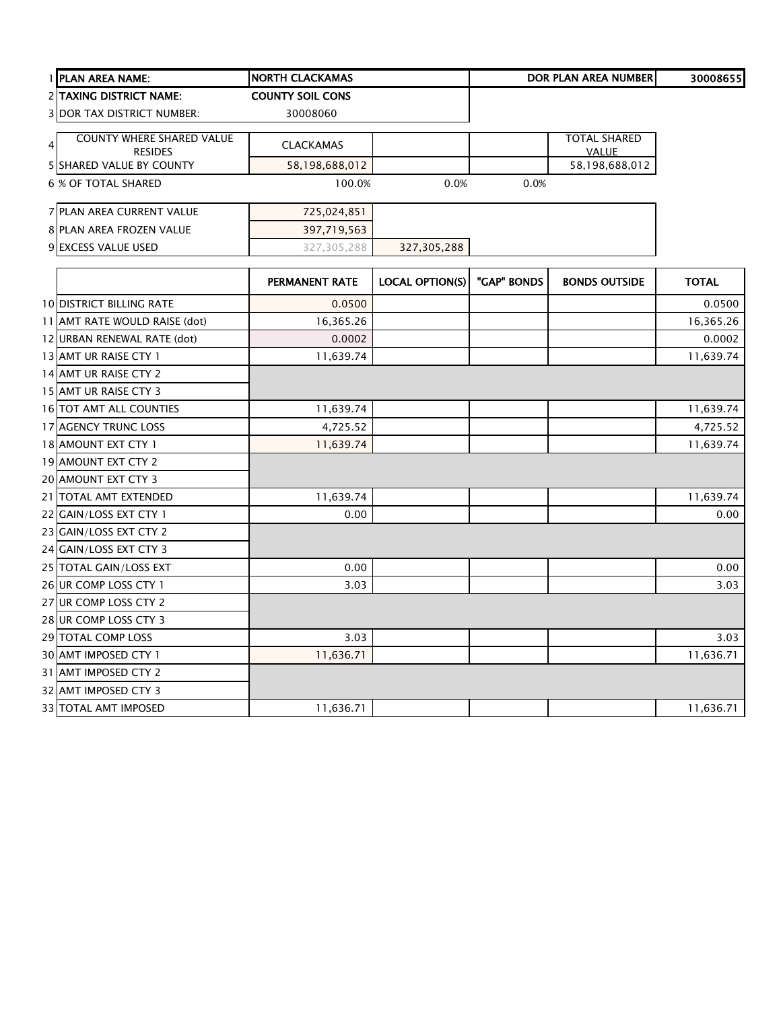| 1 PLAN AREA NAME:                 | <b>NORTH CLACKAMAS</b>  |                        |             | <b>DOR PLAN AREA NUMBER</b> | 30008655     |
|-----------------------------------|-------------------------|------------------------|-------------|-----------------------------|--------------|
| 2 TAXING DISTRICT NAME:           | <b>COUNTY SOIL CONS</b> |                        |             |                             |              |
| <b>3 DOR TAX DISTRICT NUMBER:</b> | 30008060                |                        |             |                             |              |
| <b>COUNTY WHERE SHARED VALUE</b>  |                         |                        |             | <b>TOTAL SHARED</b>         |              |
| 4<br><b>RESIDES</b>               | <b>CLACKAMAS</b>        |                        |             | <b>VALUE</b>                |              |
| 5 SHARED VALUE BY COUNTY          | 58,198,688,012          |                        |             | 58,198,688,012              |              |
| <b>6 % OF TOTAL SHARED</b>        | 100.0%                  | 0.0%                   | 0.0%        |                             |              |
| 7 PLAN AREA CURRENT VALUE         | 725,024,851             |                        |             |                             |              |
| 8 PLAN AREA FROZEN VALUE          | 397,719,563             |                        |             |                             |              |
| 9 EXCESS VALUE USED               | 327,305,288             | 327,305,288            |             |                             |              |
|                                   | PERMANENT RATE          | <b>LOCAL OPTION(S)</b> | "GAP" BONDS | <b>BONDS OUTSIDE</b>        | <b>TOTAL</b> |
| <b>10 DISTRICT BILLING RATE</b>   | 0.0500                  |                        |             |                             | 0.0500       |
| 11 AMT RATE WOULD RAISE (dot)     | 16,365.26               |                        |             |                             | 16,365.26    |
| 12 URBAN RENEWAL RATE (dot)       | 0.0002                  |                        |             |                             | 0.0002       |
| 13 AMT UR RAISE CTY 1             | 11,639.74               |                        |             |                             | 11,639.74    |
| 14 AMT UR RAISE CTY 2             |                         |                        |             |                             |              |
| 15 AMT UR RAISE CTY 3             |                         |                        |             |                             |              |
| 16 TOT AMT ALL COUNTIES           | 11,639.74               |                        |             |                             | 11,639.74    |
| 17 AGENCY TRUNC LOSS              | 4,725.52                |                        |             |                             | 4,725.52     |
| 18 AMOUNT EXT CTY 1               | 11,639.74               |                        |             |                             | 11,639.74    |
| 19 AMOUNT EXT CTY 2               |                         |                        |             |                             |              |
| 20 AMOUNT EXT CTY 3               |                         |                        |             |                             |              |
| 21 TOTAL AMT EXTENDED             | 11,639.74               |                        |             |                             | 11,639.74    |
| 22 GAIN/LOSS EXT CTY 1            | 0.00                    |                        |             |                             | 0.00         |
| 23 GAIN/LOSS EXT CTY 2            |                         |                        |             |                             |              |
| 24 GAIN/LOSS EXT CTY 3            |                         |                        |             |                             |              |
| 25 TOTAL GAIN/LOSS EXT            | 0.00                    |                        |             |                             | 0.00         |
| 26 UR COMP LOSS CTY 1             | 3.03                    |                        |             |                             | 3.03         |
| 27 UR COMP LOSS CTY 2             |                         |                        |             |                             |              |
| 28 UR COMP LOSS CTY 3             |                         |                        |             |                             |              |
| 29 TOTAL COMP LOSS                | 3.03                    |                        |             |                             | 3.03         |
| 30 AMT IMPOSED CTY 1              | 11,636.71               |                        |             |                             | 11,636.71    |
| 31 AMT IMPOSED CTY 2              |                         |                        |             |                             |              |
| 32 AMT IMPOSED CTY 3              |                         |                        |             |                             |              |
| 33 TOTAL AMT IMPOSED              | 11,636.71               |                        |             |                             | 11,636.71    |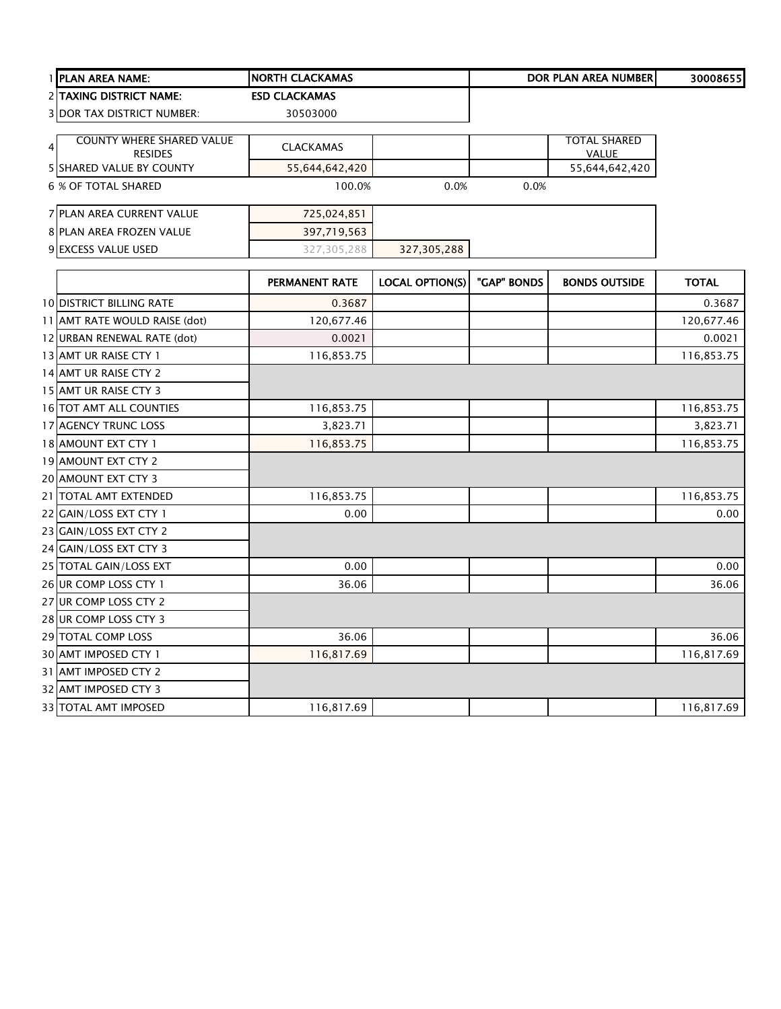|   | 1 PLAN AREA NAME:                 | <b>NORTH CLACKAMAS</b> |                        |             | <b>DOR PLAN AREA NUMBER</b> | 30008655     |
|---|-----------------------------------|------------------------|------------------------|-------------|-----------------------------|--------------|
|   | 2 TAXING DISTRICT NAME:           | <b>ESD CLACKAMAS</b>   |                        |             |                             |              |
|   | <b>3 DOR TAX DISTRICT NUMBER:</b> | 30503000               |                        |             |                             |              |
|   | <b>COUNTY WHERE SHARED VALUE</b>  |                        |                        |             | <b>TOTAL SHARED</b>         |              |
| 4 | <b>RESIDES</b>                    | <b>CLACKAMAS</b>       |                        |             | <b>VALUE</b>                |              |
|   | <b>5 SHARED VALUE BY COUNTY</b>   | 55,644,642,420         |                        |             | 55,644,642,420              |              |
|   | <b>6 % OF TOTAL SHARED</b>        | 100.0%                 | 0.0%                   | 0.0%        |                             |              |
|   | 7 PLAN AREA CURRENT VALUE         | 725,024,851            |                        |             |                             |              |
|   | 8 PLAN AREA FROZEN VALUE          | 397,719,563            |                        |             |                             |              |
|   | 9 EXCESS VALUE USED               | 327,305,288            | 327,305,288            |             |                             |              |
|   |                                   | <b>PERMANENT RATE</b>  | <b>LOCAL OPTION(S)</b> | "GAP" BONDS | <b>BONDS OUTSIDE</b>        | <b>TOTAL</b> |
|   | <b>10 DISTRICT BILLING RATE</b>   | 0.3687                 |                        |             |                             | 0.3687       |
|   | 11 AMT RATE WOULD RAISE (dot)     | 120,677.46             |                        |             |                             | 120,677.46   |
|   | 12 URBAN RENEWAL RATE (dot)       | 0.0021                 |                        |             |                             | 0.0021       |
|   | 13 AMT UR RAISE CTY 1             | 116,853.75             |                        |             |                             | 116,853.75   |
|   | 14 AMT UR RAISE CTY 2             |                        |                        |             |                             |              |
|   | 15 AMT UR RAISE CTY 3             |                        |                        |             |                             |              |
|   | 16 TOT AMT ALL COUNTIES           | 116,853.75             |                        |             |                             | 116,853.75   |
|   | 17 AGENCY TRUNC LOSS              | 3,823.71               |                        |             |                             | 3,823.71     |
|   | 18 AMOUNT EXT CTY 1               | 116,853.75             |                        |             |                             | 116,853.75   |
|   | 19 AMOUNT EXT CTY 2               |                        |                        |             |                             |              |
|   | 20 AMOUNT EXT CTY 3               |                        |                        |             |                             |              |
|   | 21   TOTAL AMT EXTENDED           | 116,853.75             |                        |             |                             | 116,853.75   |
|   | 22 GAIN/LOSS EXT CTY 1            | 0.00                   |                        |             |                             | 0.00         |
|   | 23 GAIN/LOSS EXT CTY 2            |                        |                        |             |                             |              |
|   | 24 GAIN/LOSS EXT CTY 3            |                        |                        |             |                             |              |
|   | 25 TOTAL GAIN/LOSS EXT            | 0.00                   |                        |             |                             | 0.00         |
|   | 26 UR COMP LOSS CTY 1             | 36.06                  |                        |             |                             | 36.06        |
|   | 27 UR COMP LOSS CTY 2             |                        |                        |             |                             |              |
|   | 28 UR COMP LOSS CTY 3             |                        |                        |             |                             |              |
|   | 29 TOTAL COMP LOSS                | 36.06                  |                        |             |                             | 36.06        |
|   | 30 AMT IMPOSED CTY 1              | 116,817.69             |                        |             |                             | 116,817.69   |
|   | 31 AMT IMPOSED CTY 2              |                        |                        |             |                             |              |
|   | 32 AMT IMPOSED CTY 3              |                        |                        |             |                             |              |
|   | 33 TOTAL AMT IMPOSED              | 116,817.69             |                        |             |                             | 116,817.69   |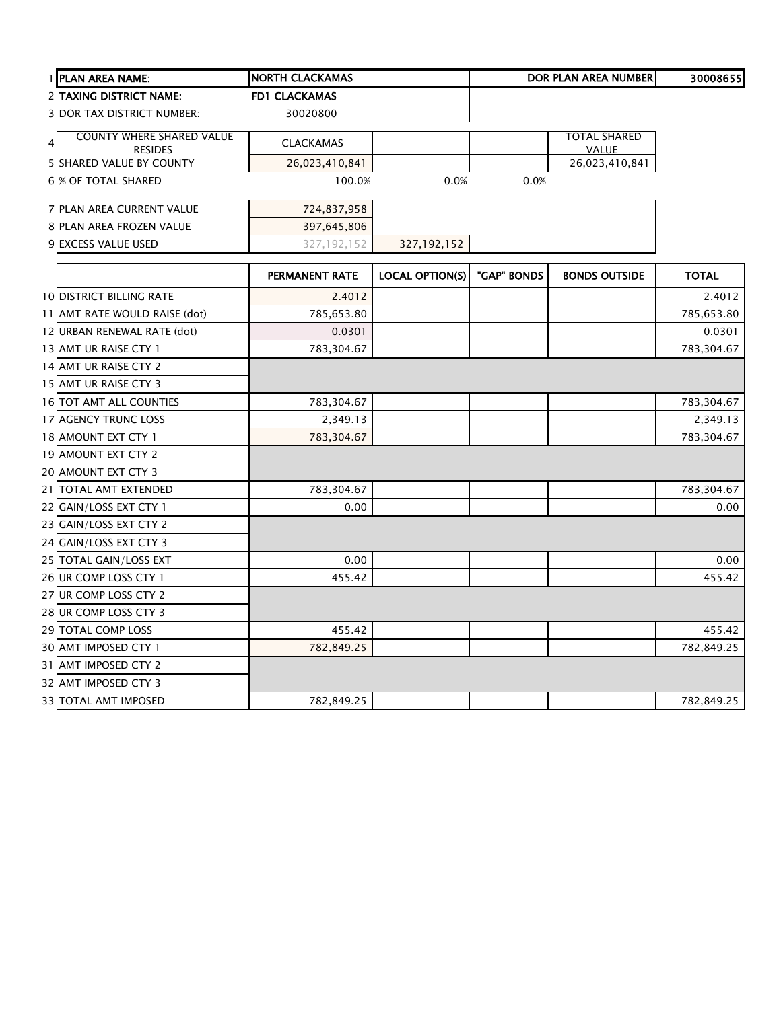|                | 1 PLAN AREA NAME:                                  | <b>NORTH CLACKAMAS</b> |                        |             | DOR PLAN AREA NUMBER                | 30008655     |
|----------------|----------------------------------------------------|------------------------|------------------------|-------------|-------------------------------------|--------------|
|                | 2 TAXING DISTRICT NAME:                            | <b>FD1 CLACKAMAS</b>   |                        |             |                                     |              |
|                | <b>3 DOR TAX DISTRICT NUMBER:</b>                  | 30020800               |                        |             |                                     |              |
| $\overline{4}$ | <b>COUNTY WHERE SHARED VALUE</b><br><b>RESIDES</b> | <b>CLACKAMAS</b>       |                        |             | <b>TOTAL SHARED</b><br><b>VALUE</b> |              |
|                | 5 SHARED VALUE BY COUNTY                           | 26,023,410,841         |                        |             | 26,023,410,841                      |              |
|                | <b>6 % OF TOTAL SHARED</b>                         | 100.0%                 | 0.0%                   | 0.0%        |                                     |              |
|                | 7 PLAN AREA CURRENT VALUE                          | 724,837,958            |                        |             |                                     |              |
|                | 8 PLAN AREA FROZEN VALUE                           | 397,645,806            |                        |             |                                     |              |
|                | 9 EXCESS VALUE USED                                | 327, 192, 152          | 327, 192, 152          |             |                                     |              |
|                |                                                    | PERMANENT RATE         | <b>LOCAL OPTION(S)</b> | "GAP" BONDS | <b>BONDS OUTSIDE</b>                | <b>TOTAL</b> |
|                | <b>10 DISTRICT BILLING RATE</b>                    | 2.4012                 |                        |             |                                     | 2.4012       |
|                | 11 AMT RATE WOULD RAISE (dot)                      | 785,653.80             |                        |             |                                     | 785,653.80   |
|                | 12 URBAN RENEWAL RATE (dot)                        | 0.0301                 |                        |             |                                     | 0.0301       |
|                | 13 AMT UR RAISE CTY 1                              | 783,304.67             |                        |             |                                     | 783,304.67   |
|                | 14 AMT UR RAISE CTY 2                              |                        |                        |             |                                     |              |
|                | 15 AMT UR RAISE CTY 3                              |                        |                        |             |                                     |              |
|                | 16 TOT AMT ALL COUNTIES                            | 783,304.67             |                        |             |                                     | 783,304.67   |
|                | 17 AGENCY TRUNC LOSS                               | 2,349.13               |                        |             |                                     | 2,349.13     |
|                | 18 AMOUNT EXT CTY 1                                | 783,304.67             |                        |             |                                     | 783,304.67   |
|                | 19 AMOUNT EXT CTY 2                                |                        |                        |             |                                     |              |
|                | 20 AMOUNT EXT CTY 3                                |                        |                        |             |                                     |              |
|                | 21 TOTAL AMT EXTENDED                              | 783,304.67             |                        |             |                                     | 783,304.67   |
|                | 22 GAIN/LOSS EXT CTY 1                             | 0.00                   |                        |             |                                     | 0.00         |
|                | 23 GAIN/LOSS EXT CTY 2                             |                        |                        |             |                                     |              |
|                | 24 GAIN/LOSS EXT CTY 3                             |                        |                        |             |                                     |              |
|                | 25 TOTAL GAIN/LOSS EXT                             | 0.00                   |                        |             |                                     | 0.00         |
|                | 26 UR COMP LOSS CTY 1                              | 455.42                 |                        |             |                                     | 455.42       |
|                | 27 UR COMP LOSS CTY 2                              |                        |                        |             |                                     |              |
|                | 28 UR COMP LOSS CTY 3                              |                        |                        |             |                                     |              |
|                | 29 TOTAL COMP LOSS                                 | 455.42                 |                        |             |                                     | 455.42       |
|                | 30 AMT IMPOSED CTY 1                               | 782,849.25             |                        |             |                                     | 782,849.25   |
|                | 31 AMT IMPOSED CTY 2                               |                        |                        |             |                                     |              |
|                | 32 AMT IMPOSED CTY 3                               |                        |                        |             |                                     |              |
|                | <b>33 TOTAL AMT IMPOSED</b>                        | 782,849.25             |                        |             |                                     | 782,849.25   |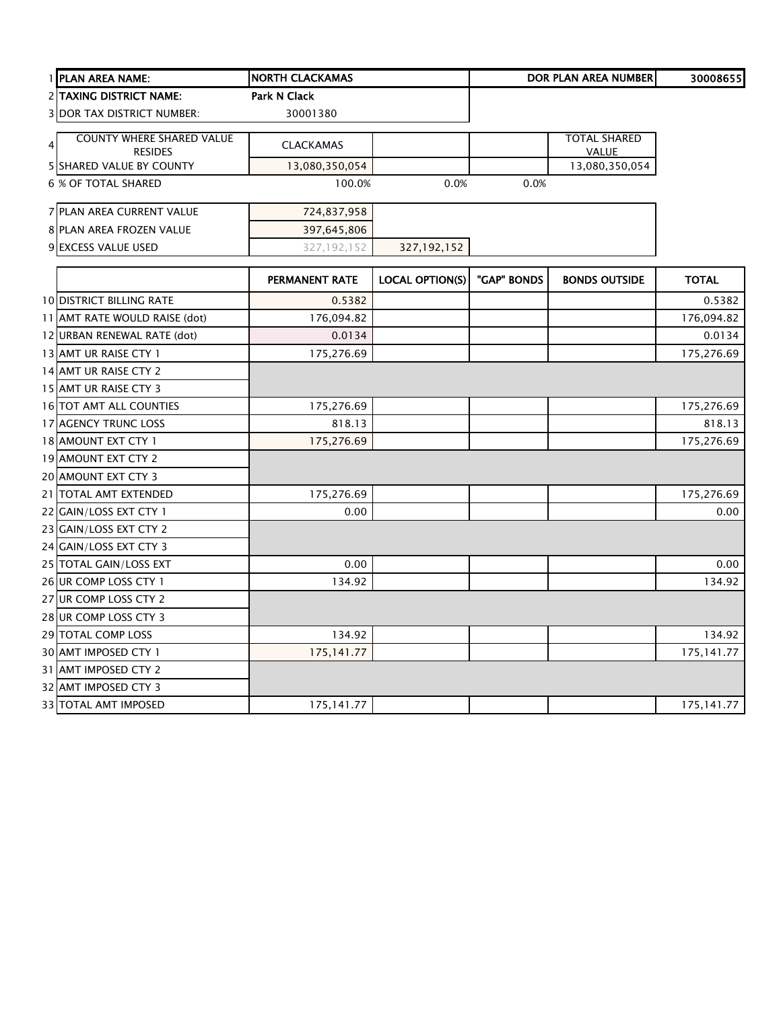|                | 1 PLAN AREA NAME:                | <b>NORTH CLACKAMAS</b> |                        |             | <b>DOR PLAN AREA NUMBER</b> | 30008655     |
|----------------|----------------------------------|------------------------|------------------------|-------------|-----------------------------|--------------|
|                | <b>2 TAXING DISTRICT NAME:</b>   | <b>Park N Clack</b>    |                        |             |                             |              |
|                | 3 DOR TAX DISTRICT NUMBER:       | 30001380               |                        |             |                             |              |
| $\overline{4}$ | <b>COUNTY WHERE SHARED VALUE</b> | <b>CLACKAMAS</b>       |                        |             | <b>TOTAL SHARED</b>         |              |
|                | <b>RESIDES</b>                   |                        |                        |             | VALUE                       |              |
|                | 5 SHARED VALUE BY COUNTY         | 13,080,350,054         |                        |             | 13,080,350,054              |              |
|                | 6 % OF TOTAL SHARED              | 100.0%                 | 0.0%                   | 0.0%        |                             |              |
|                | 7 PLAN AREA CURRENT VALUE        | 724,837,958            |                        |             |                             |              |
|                | 8 PLAN AREA FROZEN VALUE         | 397,645,806            |                        |             |                             |              |
|                | 9 EXCESS VALUE USED              | 327, 192, 152          | 327,192,152            |             |                             |              |
|                |                                  | <b>PERMANENT RATE</b>  | <b>LOCAL OPTION(S)</b> | "GAP" BONDS | <b>BONDS OUTSIDE</b>        | <b>TOTAL</b> |
|                | <b>10 DISTRICT BILLING RATE</b>  | 0.5382                 |                        |             |                             | 0.5382       |
|                | 11 AMT RATE WOULD RAISE (dot)    | 176,094.82             |                        |             |                             | 176,094.82   |
|                | 12 URBAN RENEWAL RATE (dot)      | 0.0134                 |                        |             |                             | 0.0134       |
|                | 13 AMT UR RAISE CTY 1            | 175,276.69             |                        |             |                             | 175,276.69   |
|                | 14 AMT UR RAISE CTY 2            |                        |                        |             |                             |              |
|                | 15 AMT UR RAISE CTY 3            |                        |                        |             |                             |              |
|                | 16 TOT AMT ALL COUNTIES          | 175,276.69             |                        |             |                             | 175,276.69   |
|                | 17 AGENCY TRUNC LOSS             | 818.13                 |                        |             |                             | 818.13       |
|                | 18 AMOUNT EXT CTY 1              | 175,276.69             |                        |             |                             | 175,276.69   |
|                | 19 AMOUNT EXT CTY 2              |                        |                        |             |                             |              |
|                | 20 AMOUNT EXT CTY 3              |                        |                        |             |                             |              |
|                | 21 TOTAL AMT EXTENDED            | 175,276.69             |                        |             |                             | 175,276.69   |
|                | 22 GAIN/LOSS EXT CTY 1           | 0.00                   |                        |             |                             | 0.00         |
|                | 23 GAIN/LOSS EXT CTY 2           |                        |                        |             |                             |              |
|                | 24 GAIN/LOSS EXT CTY 3           |                        |                        |             |                             |              |
|                | 25 TOTAL GAIN/LOSS EXT           | 0.00                   |                        |             |                             | 0.00         |
|                | 26 UR COMP LOSS CTY 1            | 134.92                 |                        |             |                             | 134.92       |
|                | 27 UR COMP LOSS CTY 2            |                        |                        |             |                             |              |
|                | 28 UR COMP LOSS CTY 3            |                        |                        |             |                             |              |
|                | 29 TOTAL COMP LOSS               | 134.92                 |                        |             |                             | 134.92       |
|                | 30 AMT IMPOSED CTY 1             | 175, 141.77            |                        |             |                             | 175, 141.77  |
|                | 31 AMT IMPOSED CTY 2             |                        |                        |             |                             |              |
|                | 32 AMT IMPOSED CTY 3             |                        |                        |             |                             |              |
|                | <b>33 TOTAL AMT IMPOSED</b>      | 175,141.77             |                        |             |                             | 175,141.77   |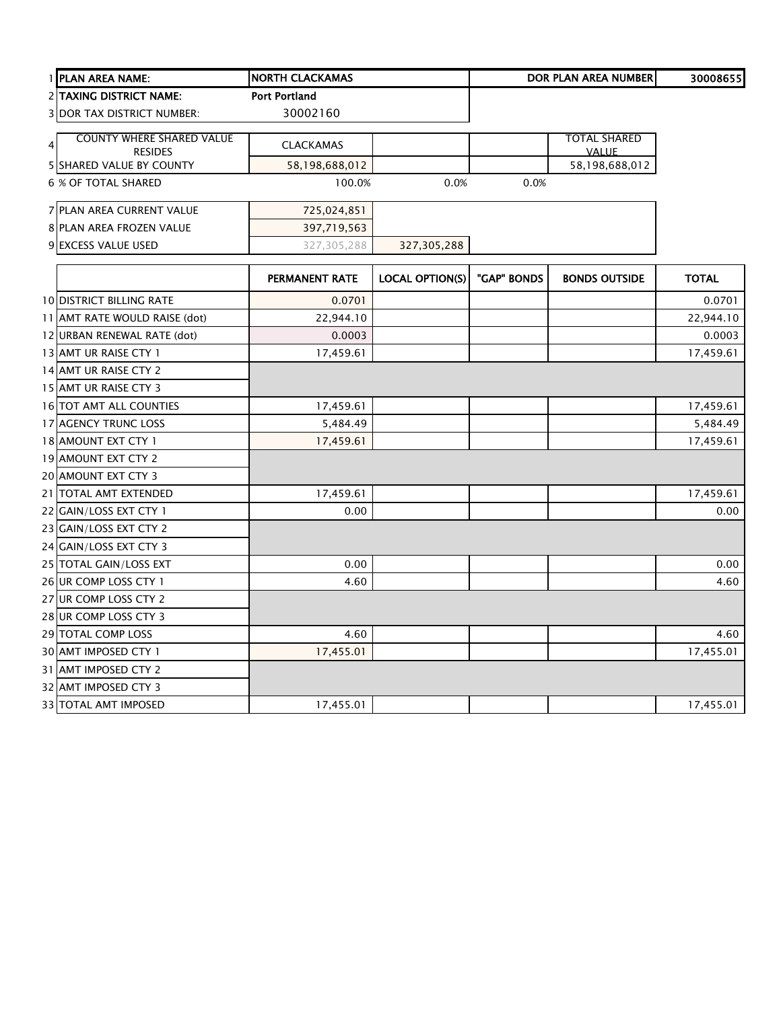| 1 PLAN AREA NAME:                 | <b>NORTH CLACKAMAS</b> |                        |             | <b>DOR PLAN AREA NUMBER</b> | 30008655     |
|-----------------------------------|------------------------|------------------------|-------------|-----------------------------|--------------|
| <b>2 TAXING DISTRICT NAME:</b>    | <b>Port Portland</b>   |                        |             |                             |              |
| <b>3 DOR TAX DISTRICT NUMBER:</b> | 30002160               |                        |             |                             |              |
| <b>COUNTY WHERE SHARED VALUE</b>  |                        |                        |             | <b>TOTAL SHARED</b>         |              |
| $\overline{4}$<br><b>RESIDES</b>  | <b>CLACKAMAS</b>       |                        |             | <b>VALUE</b>                |              |
| <b>5 SHARED VALUE BY COUNTY</b>   | 58,198,688,012         |                        |             | 58,198,688,012              |              |
| <b>6 % OF TOTAL SHARED</b>        | 100.0%                 | 0.0%                   | 0.0%        |                             |              |
| 7 PLAN AREA CURRENT VALUE         | 725,024,851            |                        |             |                             |              |
| 8 PLAN AREA FROZEN VALUE          | 397,719,563            |                        |             |                             |              |
| 9 EXCESS VALUE USED               | 327,305,288            | 327,305,288            |             |                             |              |
|                                   | PERMANENT RATE         | <b>LOCAL OPTION(S)</b> | "GAP" BONDS | <b>BONDS OUTSIDE</b>        | <b>TOTAL</b> |
| <b>10 DISTRICT BILLING RATE</b>   | 0.0701                 |                        |             |                             | 0.0701       |
| 11 AMT RATE WOULD RAISE (dot)     | 22,944.10              |                        |             |                             | 22,944.10    |
| 12 URBAN RENEWAL RATE (dot)       | 0.0003                 |                        |             |                             | 0.0003       |
| 13 AMT UR RAISE CTY 1             | 17,459.61              |                        |             |                             | 17,459.61    |
| 14 AMT UR RAISE CTY 2             |                        |                        |             |                             |              |
| 15 AMT UR RAISE CTY 3             |                        |                        |             |                             |              |
| 16 TOT AMT ALL COUNTIES           | 17,459.61              |                        |             |                             | 17,459.61    |
| 17 AGENCY TRUNC LOSS              | 5,484.49               |                        |             |                             | 5,484.49     |
| 18 AMOUNT EXT CTY 1               | 17,459.61              |                        |             |                             | 17,459.61    |
| 19 AMOUNT EXT CTY 2               |                        |                        |             |                             |              |
| 20 AMOUNT EXT CTY 3               |                        |                        |             |                             |              |
| 21 TOTAL AMT EXTENDED             | 17,459.61              |                        |             |                             | 17,459.61    |
| 22 GAIN/LOSS EXT CTY 1            | 0.00                   |                        |             |                             | 0.00         |
| 23 GAIN/LOSS EXT CTY 2            |                        |                        |             |                             |              |
| 24 GAIN/LOSS EXT CTY 3            |                        |                        |             |                             |              |
| 25 TOTAL GAIN/LOSS EXT            | 0.00                   |                        |             |                             | 0.00         |
| 26 UR COMP LOSS CTY 1             | 4.60                   |                        |             |                             | 4.60         |
| 27 UR COMP LOSS CTY 2             |                        |                        |             |                             |              |
| 28 UR COMP LOSS CTY 3             |                        |                        |             |                             |              |
| 29 TOTAL COMP LOSS                | 4.60                   |                        |             |                             | 4.60         |
| 30 AMT IMPOSED CTY 1              | 17,455.01              |                        |             |                             | 17,455.01    |
| 31 AMT IMPOSED CTY 2              |                        |                        |             |                             |              |
| 32 AMT IMPOSED CTY 3              |                        |                        |             |                             |              |
| <b>33 TOTAL AMT IMPOSED</b>       | 17,455.01              |                        |             |                             | 17,455.01    |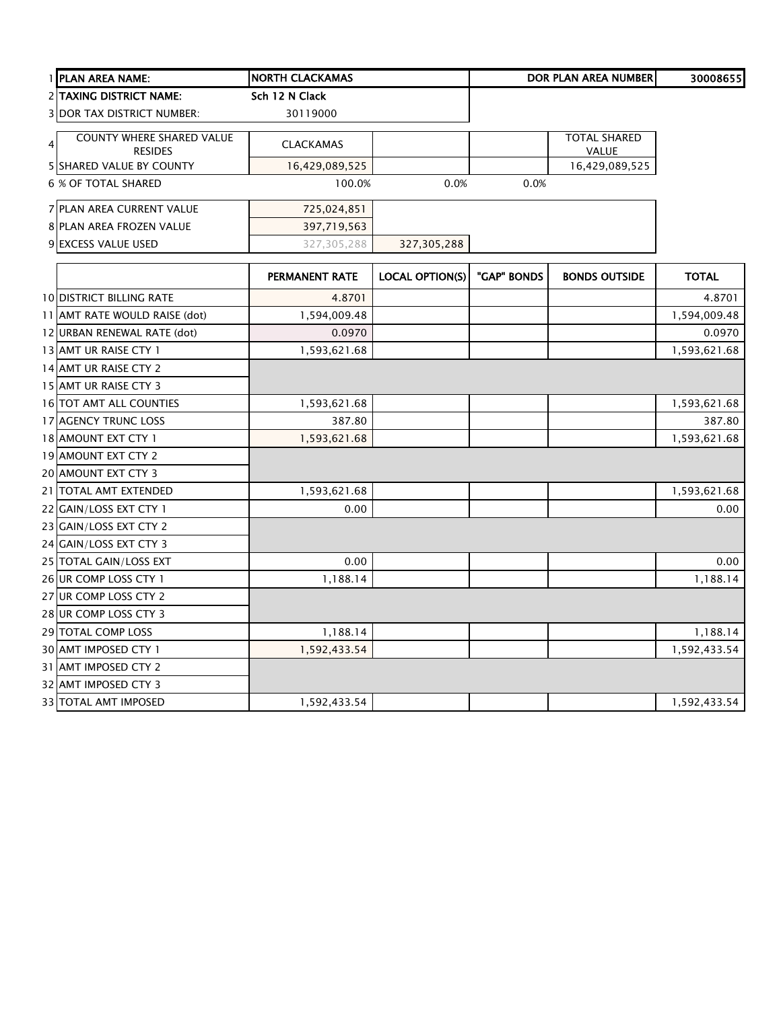|                | 1 PLAN AREA NAME:                           | <b>NORTH CLACKAMAS</b> |                        |             | <b>DOR PLAN AREA NUMBER</b>         | 30008655     |
|----------------|---------------------------------------------|------------------------|------------------------|-------------|-------------------------------------|--------------|
|                | 2 TAXING DISTRICT NAME:                     | Sch 12 N Clack         |                        |             |                                     |              |
|                | <b>3 DOR TAX DISTRICT NUMBER:</b>           | 30119000               |                        |             |                                     |              |
| 4 <sup>1</sup> | COUNTY WHERE SHARED VALUE<br><b>RESIDES</b> | <b>CLACKAMAS</b>       |                        |             | <b>TOTAL SHARED</b><br><b>VALUE</b> |              |
|                | <b>5 SHARED VALUE BY COUNTY</b>             | 16,429,089,525         |                        |             | 16,429,089,525                      |              |
|                | <b>6 % OF TOTAL SHARED</b>                  | 100.0%                 | 0.0%                   | 0.0%        |                                     |              |
|                | 7 PLAN AREA CURRENT VALUE                   | 725,024,851            |                        |             |                                     |              |
|                | 8 PLAN AREA FROZEN VALUE                    | 397,719,563            |                        |             |                                     |              |
|                | 9 EXCESS VALUE USED                         | 327,305,288            | 327,305,288            |             |                                     |              |
|                |                                             | <b>PERMANENT RATE</b>  | <b>LOCAL OPTION(S)</b> | "GAP" BONDS | <b>BONDS OUTSIDE</b>                | <b>TOTAL</b> |
|                | <b>10 DISTRICT BILLING RATE</b>             | 4.8701                 |                        |             |                                     | 4.8701       |
|                | 11 AMT RATE WOULD RAISE (dot)               | 1,594,009.48           |                        |             |                                     | 1,594,009.48 |
|                | 12 URBAN RENEWAL RATE (dot)                 | 0.0970                 |                        |             |                                     | 0.0970       |
|                | 13 AMT UR RAISE CTY 1                       | 1,593,621.68           |                        |             |                                     | 1,593,621.68 |
|                | 14 AMT UR RAISE CTY 2                       |                        |                        |             |                                     |              |
|                | 15 AMT UR RAISE CTY 3                       |                        |                        |             |                                     |              |
|                | <b>16 TOT AMT ALL COUNTIES</b>              | 1,593,621.68           |                        |             |                                     | 1,593,621.68 |
|                | 17 AGENCY TRUNC LOSS                        | 387.80                 |                        |             |                                     | 387.80       |
|                | 18 AMOUNT EXT CTY 1                         | 1,593,621.68           |                        |             |                                     | 1,593,621.68 |
|                | 19 AMOUNT EXT CTY 2                         |                        |                        |             |                                     |              |
|                | 20 AMOUNT EXT CTY 3                         |                        |                        |             |                                     |              |
|                | 21 TOTAL AMT EXTENDED                       | 1,593,621.68           |                        |             |                                     | 1,593,621.68 |
|                | 22 GAIN/LOSS EXT CTY 1                      | 0.00                   |                        |             |                                     | 0.00         |
|                | 23 GAIN/LOSS EXT CTY 2                      |                        |                        |             |                                     |              |
|                | 24 GAIN/LOSS EXT CTY 3                      |                        |                        |             |                                     |              |
|                | 25 TOTAL GAIN/LOSS EXT                      | 0.00                   |                        |             |                                     | 0.00         |
|                | 26 UR COMP LOSS CTY 1                       | 1,188.14               |                        |             |                                     | 1,188.14     |
|                | 27 UR COMP LOSS CTY 2                       |                        |                        |             |                                     |              |
|                | 28 UR COMP LOSS CTY 3                       |                        |                        |             |                                     |              |
|                | 29 TOTAL COMP LOSS                          | 1,188.14               |                        |             |                                     | 1,188.14     |
|                | 30 AMT IMPOSED CTY 1                        | 1,592,433.54           |                        |             |                                     | 1,592,433.54 |
|                | 31 AMT IMPOSED CTY 2                        |                        |                        |             |                                     |              |
|                | 32 AMT IMPOSED CTY 3                        |                        |                        |             |                                     |              |
|                | 33 TOTAL AMT IMPOSED                        | 1,592,433.54           |                        |             |                                     | 1,592,433.54 |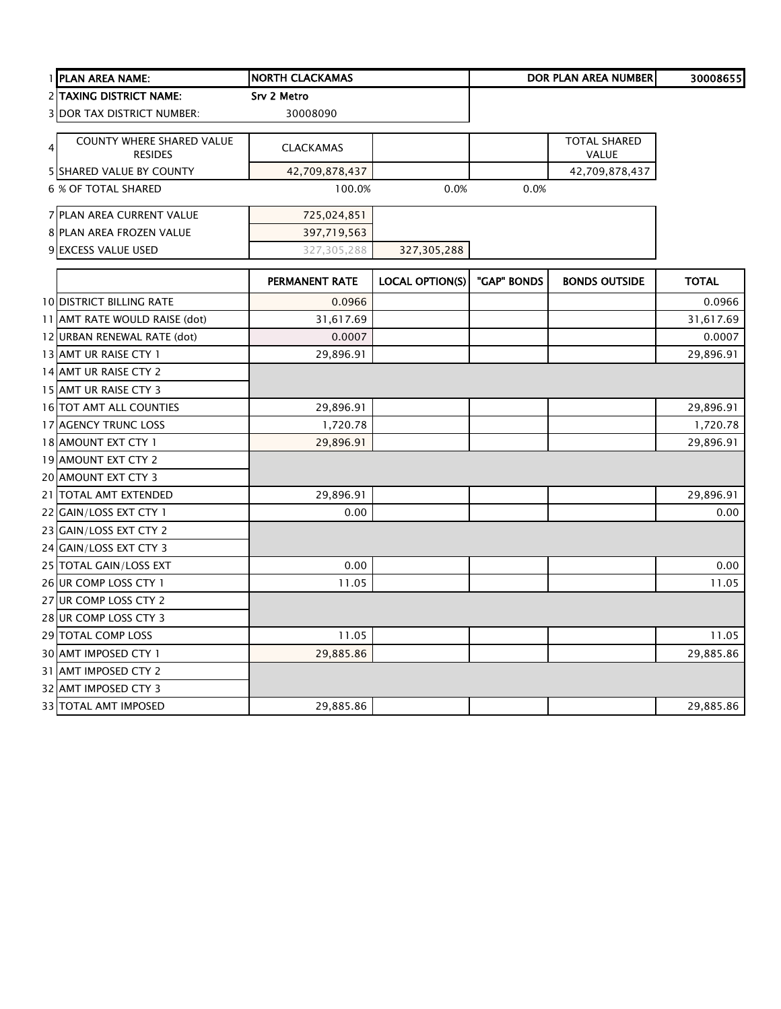|   | 1 PLAN AREA NAME:                           | <b>NORTH CLACKAMAS</b> |                        |             | <b>DOR PLAN AREA NUMBER</b>         | 30008655     |
|---|---------------------------------------------|------------------------|------------------------|-------------|-------------------------------------|--------------|
|   | 2 TAXING DISTRICT NAME:                     | Srv 2 Metro            |                        |             |                                     |              |
|   | <b>3 DOR TAX DISTRICT NUMBER:</b>           | 30008090               |                        |             |                                     |              |
| 4 | COUNTY WHERE SHARED VALUE<br><b>RESIDES</b> | <b>CLACKAMAS</b>       |                        |             | <b>TOTAL SHARED</b><br><b>VALUE</b> |              |
|   | <b>5 SHARED VALUE BY COUNTY</b>             | 42,709,878,437         |                        |             | 42,709,878,437                      |              |
|   | <b>6 % OF TOTAL SHARED</b>                  | 100.0%                 | 0.0%                   | 0.0%        |                                     |              |
|   | 7 PLAN AREA CURRENT VALUE                   | 725,024,851            |                        |             |                                     |              |
|   | 8 PLAN AREA FROZEN VALUE                    | 397,719,563            |                        |             |                                     |              |
|   | 9 EXCESS VALUE USED                         | 327,305,288            | 327,305,288            |             |                                     |              |
|   |                                             | PERMANENT RATE         | <b>LOCAL OPTION(S)</b> | "GAP" BONDS | <b>BONDS OUTSIDE</b>                | <b>TOTAL</b> |
|   | <b>10 DISTRICT BILLING RATE</b>             | 0.0966                 |                        |             |                                     | 0.0966       |
|   | 11 AMT RATE WOULD RAISE (dot)               | 31,617.69              |                        |             |                                     | 31,617.69    |
|   | 12 URBAN RENEWAL RATE (dot)                 | 0.0007                 |                        |             |                                     | 0.0007       |
|   | 13 AMT UR RAISE CTY 1                       | 29,896.91              |                        |             |                                     | 29,896.91    |
|   | 14 AMT UR RAISE CTY 2                       |                        |                        |             |                                     |              |
|   | 15 AMT UR RAISE CTY 3                       |                        |                        |             |                                     |              |
|   | 16 TOT AMT ALL COUNTIES                     | 29,896.91              |                        |             |                                     | 29,896.91    |
|   | 17 AGENCY TRUNC LOSS                        | 1,720.78               |                        |             |                                     | 1,720.78     |
|   | 18 AMOUNT EXT CTY 1                         | 29,896.91              |                        |             |                                     | 29,896.91    |
|   | 19 AMOUNT EXT CTY 2                         |                        |                        |             |                                     |              |
|   | 20 AMOUNT EXT CTY 3                         |                        |                        |             |                                     |              |
|   | 21 TOTAL AMT EXTENDED                       | 29,896.91              |                        |             |                                     | 29,896.91    |
|   | 22 GAIN/LOSS EXT CTY 1                      | 0.00                   |                        |             |                                     | 0.00         |
|   | 23 GAIN/LOSS EXT CTY 2                      |                        |                        |             |                                     |              |
|   | 24 GAIN/LOSS EXT CTY 3                      |                        |                        |             |                                     |              |
|   | 25 TOTAL GAIN/LOSS EXT                      | 0.00                   |                        |             |                                     | 0.00         |
|   | 26 UR COMP LOSS CTY 1                       | 11.05                  |                        |             |                                     | 11.05        |
|   | 27 UR COMP LOSS CTY 2                       |                        |                        |             |                                     |              |
|   | 28 UR COMP LOSS CTY 3                       |                        |                        |             |                                     |              |
|   | 29 TOTAL COMP LOSS                          | 11.05                  |                        |             |                                     | 11.05        |
|   | 30 AMT IMPOSED CTY 1                        | 29,885.86              |                        |             |                                     | 29,885.86    |
|   | 31 AMT IMPOSED CTY 2                        |                        |                        |             |                                     |              |
|   | 32 AMT IMPOSED CTY 3                        |                        |                        |             |                                     |              |
|   | 33 TOTAL AMT IMPOSED                        | 29,885.86              |                        |             |                                     | 29,885.86    |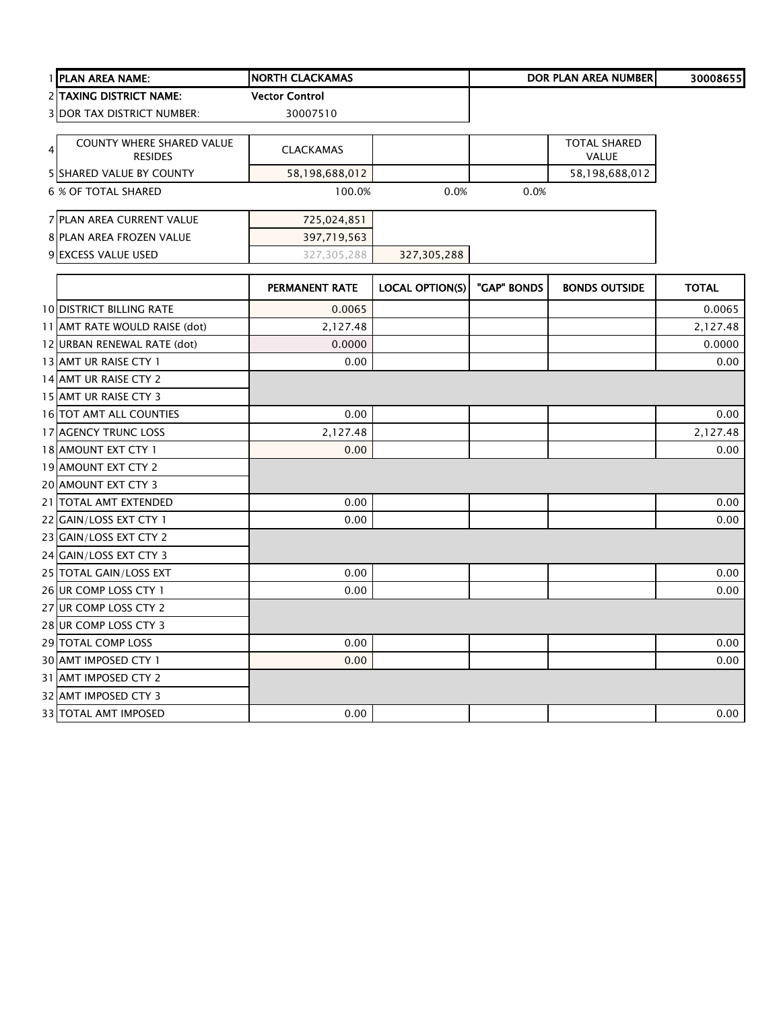|                | 1 PLAN AREA NAME:                 | <b>NORTH CLACKAMAS</b> |                        |             | <b>DOR PLAN AREA NUMBER</b> | 30008655     |
|----------------|-----------------------------------|------------------------|------------------------|-------------|-----------------------------|--------------|
|                | <b>2 TAXING DISTRICT NAME:</b>    | <b>Vector Control</b>  |                        |             |                             |              |
|                | <b>3 DOR TAX DISTRICT NUMBER:</b> | 30007510               |                        |             |                             |              |
|                | COUNTY WHERE SHARED VALUE         |                        |                        |             | <b>TOTAL SHARED</b>         |              |
| $\overline{4}$ | <b>RESIDES</b>                    | <b>CLACKAMAS</b>       |                        |             | <b>VALUE</b>                |              |
|                | <b>5 SHARED VALUE BY COUNTY</b>   | 58,198,688,012         |                        |             | 58,198,688,012              |              |
|                | 6 % OF TOTAL SHARED               | 100.0%                 | 0.0%                   | 0.0%        |                             |              |
|                | 7 PLAN AREA CURRENT VALUE         | 725,024,851            |                        |             |                             |              |
|                | 8 PLAN AREA FROZEN VALUE          | 397,719,563            |                        |             |                             |              |
|                | 9 EXCESS VALUE USED               | 327,305,288            | 327,305,288            |             |                             |              |
|                |                                   | <b>PERMANENT RATE</b>  | <b>LOCAL OPTION(S)</b> | "GAP" BONDS | <b>BONDS OUTSIDE</b>        | <b>TOTAL</b> |
|                | <b>10 DISTRICT BILLING RATE</b>   | 0.0065                 |                        |             |                             | 0.0065       |
|                | 11 AMT RATE WOULD RAISE (dot)     | 2,127.48               |                        |             |                             | 2,127.48     |
|                | 12 URBAN RENEWAL RATE (dot)       | 0.0000                 |                        |             |                             | 0.0000       |
|                | 13 AMT UR RAISE CTY 1             | 0.00                   |                        |             |                             | 0.00         |
|                | 14 AMT UR RAISE CTY 2             |                        |                        |             |                             |              |
|                | 15 AMT UR RAISE CTY 3             |                        |                        |             |                             |              |
|                | 16 TOT AMT ALL COUNTIES           | 0.00                   |                        |             |                             | 0.00         |
|                | 17 AGENCY TRUNC LOSS              | 2,127.48               |                        |             |                             | 2,127.48     |
|                | 18 AMOUNT EXT CTY 1               | 0.00                   |                        |             |                             | 0.00         |
|                | 19 AMOUNT EXT CTY 2               |                        |                        |             |                             |              |
|                | 20 AMOUNT EXT CTY 3               |                        |                        |             |                             |              |
|                | 21 TOTAL AMT EXTENDED             | 0.00                   |                        |             |                             | 0.00         |
|                | 22 GAIN/LOSS EXT CTY 1            | 0.00                   |                        |             |                             | 0.00         |
|                | 23 GAIN/LOSS EXT CTY 2            |                        |                        |             |                             |              |
|                | 24 GAIN/LOSS EXT CTY 3            |                        |                        |             |                             |              |
|                | 25 TOTAL GAIN/LOSS EXT            | 0.00                   |                        |             |                             | 0.00         |
|                | 26 UR COMP LOSS CTY 1             | 0.00                   |                        |             |                             | 0.00         |
|                | 27 UR COMP LOSS CTY 2             |                        |                        |             |                             |              |
|                | 28 UR COMP LOSS CTY 3             |                        |                        |             |                             |              |
|                | 29 TOTAL COMP LOSS                | 0.00                   |                        |             |                             | 0.00         |
|                | 30 AMT IMPOSED CTY 1              | 0.00                   |                        |             |                             | 0.00         |
|                | 31 AMT IMPOSED CTY 2              |                        |                        |             |                             |              |
|                | 32 AMT IMPOSED CTY 3              |                        |                        |             |                             |              |
|                | 33 TOTAL AMT IMPOSED              | 0.00                   |                        |             |                             | 0.00         |